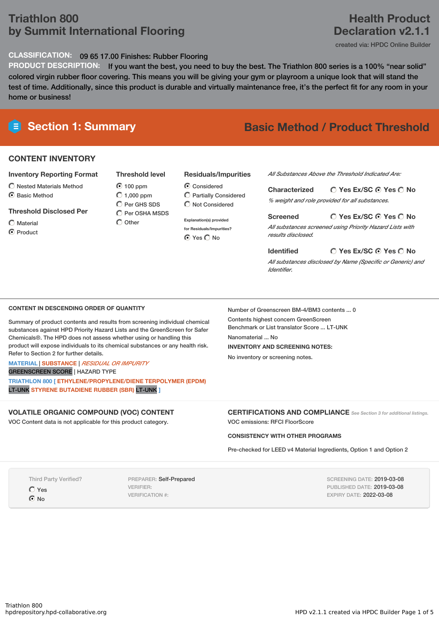# **Triathlon 800 by Summit International Flooring**

### **CLASSIFICATION:** 09 65 17.00 Finishes: Rubber Flooring

**PRODUCT DESCRIPTION:** If you want the best, you need to buy the best. The Triathlon 800 series is a 100% "near solid" colored virgin rubber floor covering. This means you will be giving your gym or playroom a unique look that will stand the test of time. Additionally, since this product is durable and virtually maintenance free, it's the perfect fit for any room in your home or business!

### **CONTENT INVENTORY**

### **Inventory Reporting Format**

- $\bigcirc$  Nested Materials Method
- C Basic Method

### **Threshold Disclosed Per**

Material **O** Product

100 ppm  $O$  1,000 ppm  $O$  Per GHS SDS  $\overline{O}$  Per OSHA MSDS

**Threshold level**

 $\bigcirc$  Other

### **Residuals/Impurities**

Considered Partially Considered  $\bigcirc$  Not Considered

**Explanation(s) provided for Residuals/Impurities?** © Yes ◯ No

*All Substances Above the Threshold Indicated Are:*

**Yes Ex/SC Yes No Characterized** *% weight and role provided for all substances.*

### **Yes Ex/SC Yes No Screened**

*All substances screened using Priority Hazard Lists with results disclosed.*

**Yes Ex/SC Yes No Identified** *All substances disclosed by Name (Specific or Generic) and Identifier.*

### **CONTENT IN DESCENDING ORDER OF QUANTITY**

Summary of product contents and results from screening individual chemical substances against HPD Priority Hazard Lists and the GreenScreen for Safer Chemicals®. The HPD does not assess whether using or handling this product will expose individuals to its chemical substances or any health risk. Refer to Section 2 for further details.

### **MATERIAL** | **SUBSTANCE** | *RESIDUAL OR IMPURITY*

GREENSCREEN SCORE | HAZARD TYPE

**TRIATHLON 800 [ ETHYLENE/PROPYLENE/DIENE TERPOLYMER (EPDM)** LT-UNK **STYRENE BUTADIENE RUBBER (SBR)** LT-UNK **]**

### **VOLATILE ORGANIC COMPOUND (VOC) CONTENT**

VOC Content data is not applicable for this product category.

Number of Greenscreen BM-4/BM3 contents ... 0

Contents highest concern GreenScreen Benchmark or List translator Score ... LT-UNK Nanomaterial ... No **INVENTORY AND SCREENING NOTES:** No inventory or screening notes.

**CERTIFICATIONS AND COMPLIANCE** *See Section <sup>3</sup> for additional listings.* VOC emissions: RFCI FloorScore

### **CONSISTENCY WITH OTHER PROGRAMS**

Pre-checked for LEED v4 Material Ingredients, Option 1 and Option 2

Third Party Verified?

Yes  $\bigcap$  No

PREPARER: Self-Prepared VERIFIER: VERIFICATION #:

SCREENING DATE: 2019-03-08 PUBLISHED DATE: 2019-03-08 EXPIRY DATE: 2022-03-08

# **Section 1: Summary Basic Method / Product Threshold**

**Health Product Declaration v2.1.1**

created via: HPDC Online Builder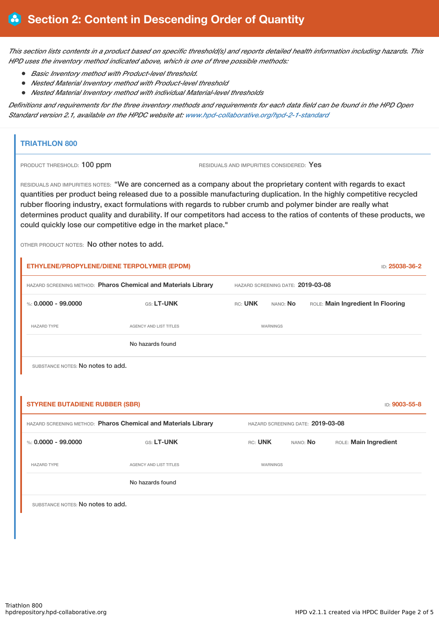This section lists contents in a product based on specific threshold(s) and reports detailed health information including hazards. This *HPD uses the inventory method indicated above, which is one of three possible methods:*

- *Basic Inventory method with Product-level threshold.*
- *Nested Material Inventory method with Product-level threshold*
- *Nested Material Inventory method with individual Material-level thresholds*

Definitions and requirements for the three inventory methods and requirements for each data field can be found in the HPD Open *Standard version 2.1, available on the HPDC website at: [www.hpd-collaborative.org/hpd-2-1-standard](http://www.hpd-collaborative.org/hpd-2-1-standard)*

### **TRIATHLON 800**

PRODUCT THRESHOLD: 100 ppm RESIDUALS AND IMPURITIES CONSIDERED: Yes

RESIDUALS AND IMPURITIES NOTES: "We are concerned as a company about the proprietary content with regards to exact quantities per product being released due to a possible manufacturing duplication. In the highly competitive recycled rubber flooring industry, exact formulations with regards to rubber crumb and polymer binder are really what determines product quality and durability. If our competitors had access to the ratios of contents of these products, we could quickly lose our competitive edge in the market place."

OTHER PRODUCT NOTES: No other notes to add.

| HAZARD SCREENING METHOD: Pharos Chemical and Materials Library |                                                                | HAZARD SCREENING DATE: 2019-03-08 |                                   |  |                                   |               |
|----------------------------------------------------------------|----------------------------------------------------------------|-----------------------------------|-----------------------------------|--|-----------------------------------|---------------|
| %: $0.0000 - 99.0000$                                          | <b>GS: LT-UNK</b>                                              | RC: UNK                           | NANO: No                          |  | ROLE: Main Ingredient In Flooring |               |
| <b>HAZARD TYPE</b>                                             | <b>AGENCY AND LIST TITLES</b>                                  |                                   | <b>WARNINGS</b>                   |  |                                   |               |
|                                                                | No hazards found                                               |                                   |                                   |  |                                   |               |
| SUBSTANCE NOTES: No notes to add.                              |                                                                |                                   |                                   |  |                                   |               |
|                                                                |                                                                |                                   |                                   |  |                                   |               |
|                                                                |                                                                |                                   |                                   |  |                                   |               |
| <b>STYRENE BUTADIENE RUBBER (SBR)</b>                          |                                                                |                                   |                                   |  |                                   | ID: 9003-55-8 |
|                                                                | HAZARD SCREENING METHOD: Pharos Chemical and Materials Library |                                   | HAZARD SCREENING DATE: 2019-03-08 |  |                                   |               |
| %: $0.0000 - 99.0000$                                          | GS: LT-UNK                                                     | RC: UNK                           | NANO: No                          |  | ROLE: Main Ingredient             |               |
| <b>HAZARD TYPE</b>                                             | AGENCY AND LIST TITLES                                         |                                   | WARNINGS                          |  |                                   |               |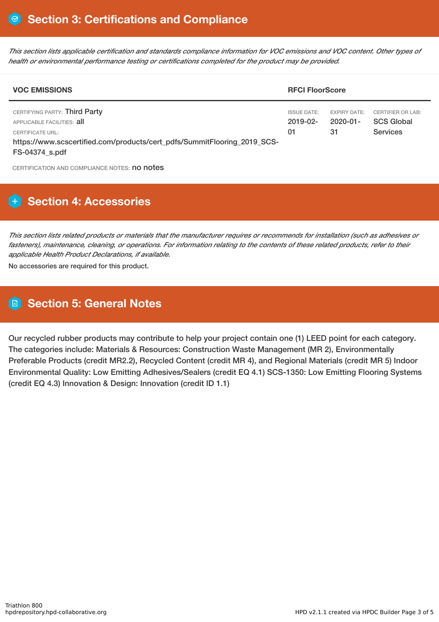This section lists applicable certification and standards compliance information for VOC emissions and VOC content. Other types of *health or environmental performance testing or certifications completed for the product may be provided.*

| <b>VOC EMISSIONS</b>                                                                                                                                                          |                                           | <b>RFCI FloorScore</b>                |                                                                  |  |  |
|-------------------------------------------------------------------------------------------------------------------------------------------------------------------------------|-------------------------------------------|---------------------------------------|------------------------------------------------------------------|--|--|
| CERTIFYING PARTY: Third Party<br>APPLICABLE FACILITIES: all<br>CERTIFICATE URL:<br>https://www.scscertified.com/products/cert_pdfs/SummitFlooring_2019_SCS-<br>FS-04374 s.pdf | <b>ISSUE DATE:</b><br>$2019 - 02 -$<br>01 | <b>EXPIRY DATE:</b><br>2020-01-<br>31 | <b>CERTIFIER OR LAB:</b><br><b>SCS Global</b><br><b>Services</b> |  |  |

CERTIFICATION AND COMPLIANCE NOTES: no notes

# **H** Section 4: Accessories

This section lists related products or materials that the manufacturer requires or recommends for installation (such as adhesives or fasteners), maintenance, cleaning, or operations. For information relating to the contents of these related products, refer to their *applicable Health Product Declarations, if available.*

No accessories are required for this product.

## **Section 5: General Notes**

Our recycled rubber products may contribute to help your project contain one (1) LEED point for each category. The categories include: Materials & Resources: Construction Waste Management (MR 2), Environmentally Preferable Products (credit MR2.2), Recycled Content (credit MR 4), and Regional Materials (credit MR 5) Indoor Environmental Quality: Low Emitting Adhesives/Sealers (credit EQ 4.1) SCS-1350: Low Emitting Flooring Systems (credit EQ 4.3) Innovation & Design: Innovation (credit ID 1.1)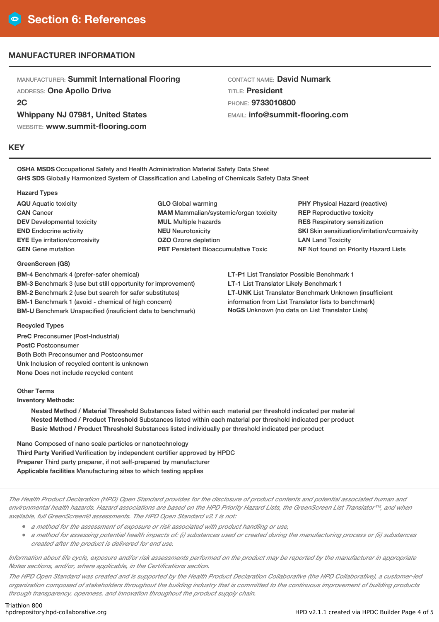### **MANUFACTURER INFORMATION**

MANUFACTURER: **Summit International Flooring** ADDRESS: **One Apollo Drive 2C**

**Whippany NJ 07981, United States**

WEBSITE: **www.summit-flooring.com**

### **KEY**

CONTACT NAME: **David Numark** TITLE: **President** PHONE: **9733010800** EMAIL: **info@summit-flooring.com**

**OSHA MSDS** Occupational Safety and Health Administration Material Safety Data Sheet **GHS SDS** Globally Harmonized System of Classification and Labeling of Chemicals Safety Data Sheet

### **Hazard Types**

**AQU** Aquatic toxicity **CAN** Cancer **DEV** Developmental toxicity **END** Endocrine activity **EYE** Eye irritation/corrosivity **GEN** Gene mutation

### **GLO** Global warming **MAM** Mammalian/systemic/organ toxicity **MUL** Multiple hazards **NEU** Neurotoxicity **OZO** Ozone depletion **PBT** Persistent Bioaccumulative Toxic

**PHY** Physical Hazard (reactive) **REP** Reproductive toxicity **RES** Respiratory sensitization **SKI** Skin sensitization/irritation/corrosivity **LAN** Land Toxicity **NF** Not found on Priority Hazard Lists

### **GreenScreen (GS)**

**BM-4** Benchmark 4 (prefer-safer chemical) **BM-3** Benchmark 3 (use but still opportunity for improvement) **BM-2** Benchmark 2 (use but search for safer substitutes) **BM-1** Benchmark 1 (avoid - chemical of high concern) **BM-U** Benchmark Unspecified (insuficient data to benchmark) **LT-P1** List Translator Possible Benchmark 1 **LT-1** List Translator Likely Benchmark 1 **LT-UNK** List Translator Benchmark Unknown (insufficient information from List Translator lists to benchmark) **NoGS** Unknown (no data on List Translator Lists)

### **Recycled Types**

**PreC** Preconsumer (Post-Industrial) **PostC** Postconsumer **Both** Both Preconsumer and Postconsumer **Unk** Inclusion of recycled content is unknown **None** Does not include recycled content

### **Other Terms**

**Inventory Methods:**

**Nested Method / Material Threshold** Substances listed within each material per threshold indicated per material **Nested Method / Product Threshold** Substances listed within each material per threshold indicated per product **Basic Method / Product Threshold** Substances listed individually per threshold indicated per product

**Nano** Composed of nano scale particles or nanotechnology **Third Party Verified** Verification by independent certifier approved by HPDC **Preparer** Third party preparer, if not self-prepared by manufacturer **Applicable facilities** Manufacturing sites to which testing applies

The Health Product Declaration (HPD) Open Standard provides for the disclosure of product contents and potential associated human and environmental health hazards. Hazard associations are based on the HPD Priority Hazard Lists, the GreenScreen List Translator™, and when *available, full GreenScreen® assessments. The HPD Open Standard v2.1 is not:*

*<sup>a</sup> method for the assessment of exposure or risk associated with product handling or use,*

a method for assessing potential health impacts of: (i) substances used or created during the manufacturing process or (ii) substances *created after the product is delivered for end use.*

Information about life cycle, exposure and/or risk assessments performed on the product may be reported by the manufacturer in appropriate *Notes sections, and/or, where applicable, in the Certifications section.*

The HPD Open Standard was created and is supported by the Health Product Declaration Collaborative (the HPD Collaborative), a customer-led organization composed of stakeholders throughout the building industry that is committed to the continuous improvement of building products *through transparency, openness, and innovation throughout the product supply chain.*